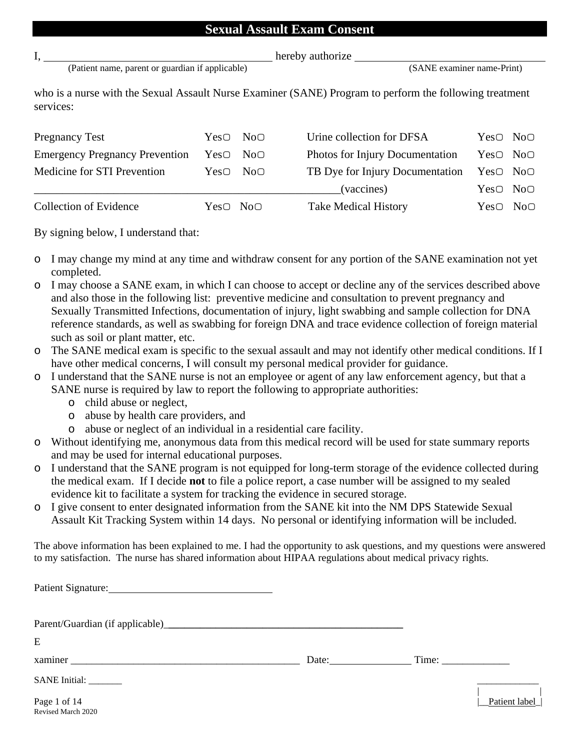#### **Sexual Assault Exam Consent**

|  | ×, |   |  |
|--|----|---|--|
|  |    | × |  |

(Patient name, parent or guardian if applicable) (SANE examiner name-Print)

hereby authorize

who is a nurse with the Sexual Assault Nurse Examiner (SANE) Program to perform the following treatment services:

| <b>Pregnancy Test</b>                 |                                  | YesO NOO | Urine collection for DFSA                            | YesO NOO |  |
|---------------------------------------|----------------------------------|----------|------------------------------------------------------|----------|--|
| <b>Emergency Pregnancy Prevention</b> | YesO NOO                         |          | Photos for Injury Documentation                      | Yes○ No○ |  |
| Medicine for STI Prevention           | YesO NOO                         |          | TB Dye for Injury Documentation $Yes \circ No \circ$ |          |  |
|                                       |                                  |          | (vaccines)                                           | YesO NOO |  |
| <b>Collection of Evidence</b>         | Yes <sub>O</sub> No <sub>O</sub> |          | <b>Take Medical History</b>                          | YesO NOO |  |

By signing below, I understand that:

- o I may change my mind at any time and withdraw consent for any portion of the SANE examination not yet completed.
- o I may choose a SANE exam, in which I can choose to accept or decline any of the services described above and also those in the following list: preventive medicine and consultation to prevent pregnancy and Sexually Transmitted Infections, documentation of injury, light swabbing and sample collection for DNA reference standards, as well as swabbing for foreign DNA and trace evidence collection of foreign material such as soil or plant matter, etc.
- o The SANE medical exam is specific to the sexual assault and may not identify other medical conditions. If I have other medical concerns, I will consult my personal medical provider for guidance.
- o I understand that the SANE nurse is not an employee or agent of any law enforcement agency, but that a SANE nurse is required by law to report the following to appropriate authorities:
	- o child abuse or neglect,
	- o abuse by health care providers, and
	- o abuse or neglect of an individual in a residential care facility.
- o Without identifying me, anonymous data from this medical record will be used for state summary reports and may be used for internal educational purposes.
- o I understand that the SANE program is not equipped for long-term storage of the evidence collected during the medical exam. If I decide **not** to file a police report, a case number will be assigned to my sealed evidence kit to facilitate a system for tracking the evidence in secured storage.
- o I give consent to enter designated information from the SANE kit into the NM DPS Statewide Sexual Assault Kit Tracking System within 14 days. No personal or identifying information will be included.

The above information has been explained to me. I had the opportunity to ask questions, and my questions were answered to my satisfaction. The nurse has shared information about HIPAA regulations about medical privacy rights.

| E                                  |       |                |
|------------------------------------|-------|----------------|
| xaminer                            | Date: |                |
| SANE Initial: ________             |       |                |
| Page 1 of 14<br>Revised March 2020 |       | Patient label_ |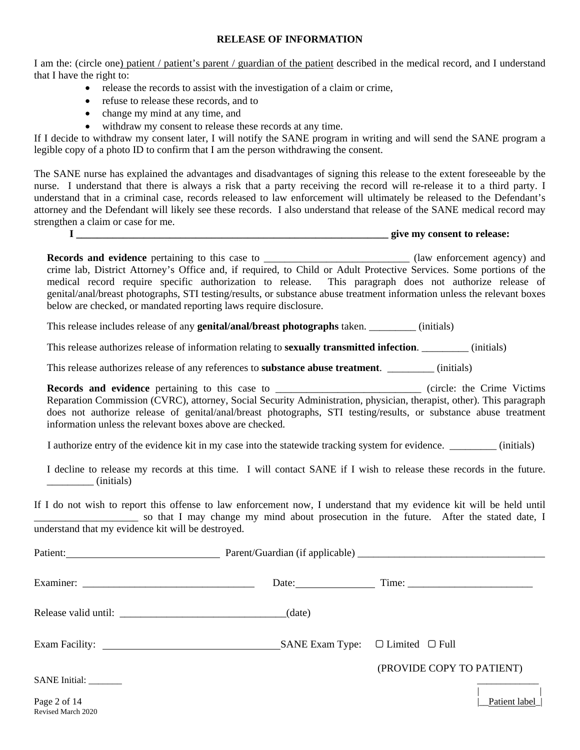#### **RELEASE OF INFORMATION**

I am the: (circle one) patient / patient's parent / guardian of the patient described in the medical record, and I understand that I have the right to:

- release the records to assist with the investigation of a claim or crime,
- refuse to release these records, and to
- change my mind at any time, and
- withdraw my consent to release these records at any time.

If I decide to withdraw my consent later, I will notify the SANE program in writing and will send the SANE program a legible copy of a photo ID to confirm that I am the person withdrawing the consent.

The SANE nurse has explained the advantages and disadvantages of signing this release to the extent foreseeable by the nurse. I understand that there is always a risk that a party receiving the record will re-release it to a third party. I understand that in a criminal case, records released to law enforcement will ultimately be released to the Defendant's attorney and the Defendant will likely see these records. I also understand that release of the SANE medical record may strengthen a claim or case for me.

**I \_\_\_\_\_\_\_\_\_\_\_\_\_\_\_\_\_\_\_\_\_\_\_\_\_\_\_\_\_\_\_\_\_\_\_\_\_\_\_\_\_\_\_\_\_\_\_\_\_\_\_\_\_\_\_\_\_\_\_\_ give my consent to release:**

Records and evidence pertaining to this case to \_\_\_\_\_\_\_\_\_\_\_\_\_\_\_\_\_\_\_\_\_\_\_\_\_\_\_\_\_\_\_ (law enforcement agency) and crime lab, District Attorney's Office and, if required, to Child or Adult Protective Services. Some portions of the medical record require specific authorization to release. This paragraph does not authorize release of genital/anal/breast photographs, STI testing/results, or substance abuse treatment information unless the relevant boxes below are checked, or mandated reporting laws require disclosure.

This release includes release of any **genital/anal/breast photographs** taken. \_\_\_\_\_\_\_\_\_ (initials)

This release authorizes release of information relating to **sexually transmitted infection**. \_\_\_\_\_\_\_\_\_ (initials)

This release authorizes release of any references to **substance abuse treatment**. \_\_\_\_\_\_\_\_\_ (initials)

**Records and evidence** pertaining to this case to \_\_\_\_\_\_\_\_\_\_\_\_\_\_\_\_\_\_\_\_\_\_\_\_\_\_\_\_\_\_(circle: the Crime Victims Reparation Commission (CVRC), attorney, Social Security Administration, physician, therapist, other). This paragraph does not authorize release of genital/anal/breast photographs, STI testing/results, or substance abuse treatment information unless the relevant boxes above are checked.

I authorize entry of the evidence kit in my case into the statewide tracking system for evidence. \_\_\_\_\_\_\_\_\_ (initials)

 I decline to release my records at this time. I will contact SANE if I wish to release these records in the future.  $\frac{1}{\text{intials}}$ 

If I do not wish to report this offense to law enforcement now, I understand that my evidence kit will be held until \_\_\_\_\_\_\_\_\_\_\_\_\_\_\_\_\_\_\_\_ so that I may change my mind about prosecution in the future. After the stated date, I understand that my evidence kit will be destroyed.

| Patient:                           |        |                                         |
|------------------------------------|--------|-----------------------------------------|
|                                    | Date:  |                                         |
|                                    | (data) |                                         |
|                                    |        | $SANE ExamType: \Box Limited \Box Full$ |
| SANE Initial: ________             |        | (PROVIDE COPY TO PATIENT)               |
| Page 2 of 14<br>Revised March 2020 |        | Patient label                           |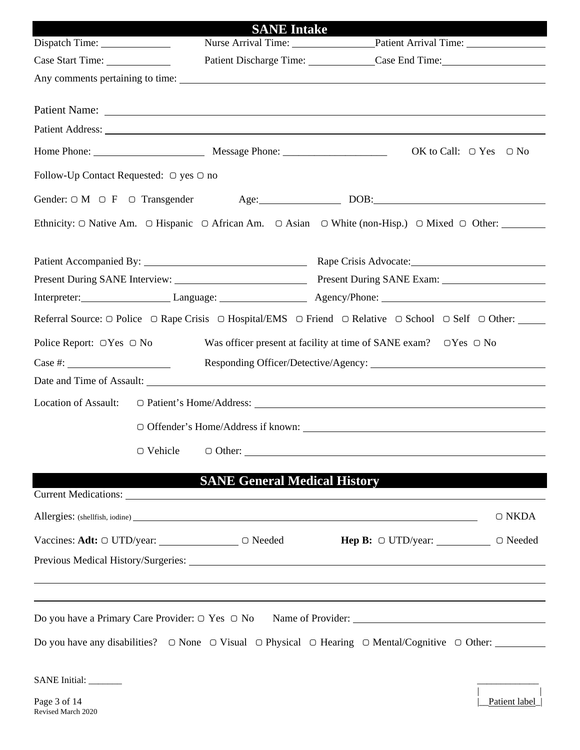| Dispatch Time:                                            |                    | <b>SANE</b> Intake                                                                                                                                                                                                             | Nurse Arrival Time: Patient Arrival Time:                                                                                                                    |  |  |
|-----------------------------------------------------------|--------------------|--------------------------------------------------------------------------------------------------------------------------------------------------------------------------------------------------------------------------------|--------------------------------------------------------------------------------------------------------------------------------------------------------------|--|--|
| Case Start Time:                                          |                    |                                                                                                                                                                                                                                | Patient Discharge Time: Case End Time:                                                                                                                       |  |  |
|                                                           |                    |                                                                                                                                                                                                                                |                                                                                                                                                              |  |  |
|                                                           |                    |                                                                                                                                                                                                                                |                                                                                                                                                              |  |  |
|                                                           |                    |                                                                                                                                                                                                                                |                                                                                                                                                              |  |  |
|                                                           |                    | Patient Address: No. 1996. The Contract of the Contract of the Contract of the Contract of the Contract of the Contract of the Contract of the Contract of the Contract of the Contract of the Contract of the Contract of the |                                                                                                                                                              |  |  |
|                                                           |                    |                                                                                                                                                                                                                                | OK to Call: $\bigcirc$ Yes $\bigcirc$ No                                                                                                                     |  |  |
| Follow-Up Contact Requested: $\bigcirc$ yes $\bigcirc$ no |                    |                                                                                                                                                                                                                                |                                                                                                                                                              |  |  |
|                                                           |                    |                                                                                                                                                                                                                                | Gender: $\Box$ M $\Box$ F $\Box$ Transgender Age: $\qquad \qquad$ DOB:                                                                                       |  |  |
|                                                           |                    |                                                                                                                                                                                                                                | Ethnicity: $\bigcirc$ Native Am. $\bigcirc$ Hispanic $\bigcirc$ African Am. $\bigcirc$ Asian $\bigcirc$ White (non-Hisp.) $\bigcirc$ Mixed $\bigcirc$ Other: |  |  |
|                                                           |                    |                                                                                                                                                                                                                                |                                                                                                                                                              |  |  |
|                                                           |                    |                                                                                                                                                                                                                                |                                                                                                                                                              |  |  |
|                                                           |                    |                                                                                                                                                                                                                                | Present During SANE Interview: Present During SANE Exam:                                                                                                     |  |  |
|                                                           |                    |                                                                                                                                                                                                                                |                                                                                                                                                              |  |  |
|                                                           |                    |                                                                                                                                                                                                                                | Referral Source: ○ Police ○ Rape Crisis ○ Hospital/EMS ○ Friend ○ Relative ○ School ○ Self ○ Other: _____                                                    |  |  |
| Police Report: $\bigcirc$ Yes $\bigcirc$ No               |                    |                                                                                                                                                                                                                                | Was officer present at facility at time of SANE exam? $\Box$ Yes $\Box$ No                                                                                   |  |  |
| $\text{Case } \#:$                                        |                    |                                                                                                                                                                                                                                |                                                                                                                                                              |  |  |
|                                                           |                    |                                                                                                                                                                                                                                |                                                                                                                                                              |  |  |
|                                                           |                    |                                                                                                                                                                                                                                |                                                                                                                                                              |  |  |
|                                                           |                    |                                                                                                                                                                                                                                |                                                                                                                                                              |  |  |
|                                                           | $\bigcirc$ Vehicle |                                                                                                                                                                                                                                |                                                                                                                                                              |  |  |
|                                                           |                    |                                                                                                                                                                                                                                |                                                                                                                                                              |  |  |
|                                                           |                    | <b>SANE General Medical History</b>                                                                                                                                                                                            |                                                                                                                                                              |  |  |
|                                                           |                    |                                                                                                                                                                                                                                | $\bigcirc$ NKDA                                                                                                                                              |  |  |
|                                                           |                    |                                                                                                                                                                                                                                | Vaccines: Adt: ○ UTD/year: ______________ ○ Needed Hep B: ○ UTD/year: __________ ○ Needed                                                                    |  |  |
|                                                           |                    |                                                                                                                                                                                                                                |                                                                                                                                                              |  |  |
|                                                           |                    |                                                                                                                                                                                                                                | ,我们也不会有什么。""我们的人,我们也不会有什么?""我们的人,我们也不会有什么?""我们的人,我们也不会有什么?""我们的人,我们也不会有什么?""我们的人                                                                             |  |  |
|                                                           |                    |                                                                                                                                                                                                                                | ,我们也不会有什么。""我们的人,我们也不会有什么?""我们的人,我们也不会有什么?""我们的人,我们也不会有什么?""我们的人,我们也不会有什么?""我们的人                                                                             |  |  |
|                                                           |                    |                                                                                                                                                                                                                                | Do you have a Primary Care Provider: ○ Yes ○ No Name of Provider: _________________________________                                                          |  |  |
|                                                           |                    |                                                                                                                                                                                                                                | Do you have any disabilities? $\Box$ None $\Box$ Visual $\Box$ Physical $\Box$ Hearing $\Box$ Mental/Cognitive $\Box$ Other:                                 |  |  |
|                                                           |                    |                                                                                                                                                                                                                                |                                                                                                                                                              |  |  |
| SANE Initial: ________                                    |                    |                                                                                                                                                                                                                                |                                                                                                                                                              |  |  |

Page 3 of 14<br>Revised March 2020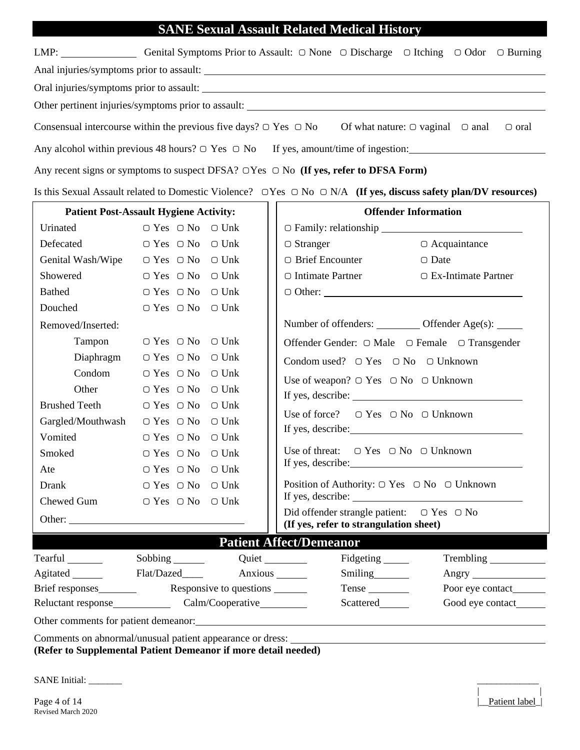### **SANE Sexual Assault Related Medical History**

|                                        |                                               |                 | SANE Sexual Assault Related Medical History                                                                                           |                                                                                                                                 |
|----------------------------------------|-----------------------------------------------|-----------------|---------------------------------------------------------------------------------------------------------------------------------------|---------------------------------------------------------------------------------------------------------------------------------|
|                                        |                                               |                 |                                                                                                                                       | LMP: Genital Symptoms Prior to Assault: ○ None ○ Discharge ○ Itching ○ Odor ○ Burning                                           |
|                                        |                                               |                 |                                                                                                                                       |                                                                                                                                 |
|                                        |                                               |                 |                                                                                                                                       |                                                                                                                                 |
|                                        |                                               |                 |                                                                                                                                       |                                                                                                                                 |
|                                        |                                               |                 | Consensual intercourse within the previous five days? $\bigcirc$ Yes $\bigcirc$ No Of what nature: $\bigcirc$ vaginal $\bigcirc$ anal | $\Box$ oral                                                                                                                     |
|                                        |                                               |                 |                                                                                                                                       | Any alcohol within previous 48 hours? $\bigcirc$ Yes $\bigcirc$ No If yes, amount/time of ingestion:                            |
|                                        |                                               |                 | Any recent signs or symptoms to suspect DFSA? $\bigcirc$ Yes $\bigcirc$ No (If yes, refer to DFSA Form)                               |                                                                                                                                 |
|                                        |                                               |                 |                                                                                                                                       | Is this Sexual Assault related to Domestic Violence? $\Box$ Yes $\Box$ No $\Box$ N/A (If yes, discuss safety plan/DV resources) |
|                                        | <b>Patient Post-Assault Hygiene Activity:</b> |                 |                                                                                                                                       | <b>Offender Information</b>                                                                                                     |
| Urinated                               | $\bigcirc$ Yes $\bigcirc$ No $\bigcirc$ Unk   |                 | O Family: relationship                                                                                                                |                                                                                                                                 |
| Defecated                              | $\bigcirc$ Yes $\bigcirc$ No $\bigcirc$ Unk   |                 | $\Box$ Stranger                                                                                                                       | $\bigcirc$ Acquaintance                                                                                                         |
| Genital Wash/Wipe                      | $\bigcirc$ Yes $\bigcirc$ No $\bigcirc$ Unk   |                 | $\bigcirc$ Brief Encounter                                                                                                            | $\bigcirc$ Date                                                                                                                 |
| Showered                               | $\bigcirc$ Yes $\bigcirc$ No $\bigcirc$ Unk   |                 | $\circ$ Intimate Partner                                                                                                              | $\Box$ Ex-Intimate Partner                                                                                                      |
| <b>Bathed</b>                          | $\bigcirc$ Yes $\bigcirc$ No                  | $\bigcirc$ Unk  |                                                                                                                                       |                                                                                                                                 |
| Douched                                | $\bigcirc$ Yes $\bigcirc$ No                  | $\bigcirc$ Unk  |                                                                                                                                       |                                                                                                                                 |
| Removed/Inserted:                      |                                               |                 | Number of offenders: __________ Offender Age(s): _____                                                                                |                                                                                                                                 |
| Tampon                                 | $\bigcirc$ Yes $\bigcirc$ No $\bigcirc$ Unk   |                 | Offender Gender: ○ Male ○ Female ○ Transgender                                                                                        |                                                                                                                                 |
| Diaphragm                              | $\bigcirc$ Yes $\bigcirc$ No $\bigcirc$ Unk   |                 | Condom used? $\Box$ Yes $\Box$ No $\Box$ Unknown                                                                                      |                                                                                                                                 |
| Condom                                 | $\bigcirc$ Yes $\bigcirc$ No $\bigcirc$ Unk   |                 | Use of weapon? $\bigcirc$ Yes $\bigcirc$ No $\bigcirc$ Unknown                                                                        |                                                                                                                                 |
| Other                                  | $\bigcirc$ Yes $\bigcirc$ No $\bigcirc$ Unk   |                 |                                                                                                                                       |                                                                                                                                 |
| <b>Brushed Teeth</b>                   | $\bigcirc$ Yes $\bigcirc$ No                  | $\bigcirc$ Unk  |                                                                                                                                       |                                                                                                                                 |
| Gargled/Mouthwash                      | $\bigcirc$ Yes $\bigcirc$ No $\bigcirc$ Unk   |                 | Use of force? $\Box$ Yes $\Box$ No $\Box$ Unknown                                                                                     |                                                                                                                                 |
| Vomited                                | $\bigcirc$ Yes $\bigcirc$ No $\bigcirc$ Unk   |                 |                                                                                                                                       |                                                                                                                                 |
|                                        | Smoked ○ Yes ○ No ○ Unk                       |                 | Use of threat: $\Box$ Yes $\Box$ No $\Box$ Unknown                                                                                    |                                                                                                                                 |
| Ate                                    | $\cap$ Yes $\cap$ No                          | $\bigcirc$ Unk  |                                                                                                                                       |                                                                                                                                 |
| Drank                                  | $\bigcirc$ Yes $\bigcirc$ No                  | $\bigcirc$ Unk  | Position of Authority: $\bigcirc$ Yes $\bigcirc$ No $\bigcirc$ Unknown                                                                |                                                                                                                                 |
| Chewed Gum                             | $\bigcirc$ Yes $\bigcirc$ No                  | $\bigcirc$ Unk  |                                                                                                                                       |                                                                                                                                 |
|                                        |                                               |                 | Did offender strangle patient: $\Box$ Yes $\Box$ No<br>(If yes, refer to strangulation sheet)                                         |                                                                                                                                 |
|                                        |                                               |                 | <b>Patient Affect/Demeanor</b>                                                                                                        |                                                                                                                                 |
| Tearful ________                       |                                               | Quiet           | Fidgeting ______                                                                                                                      | Trembling                                                                                                                       |
| Agitated ________                      | Flat/Dazed____                                | Anxious _______ | Smiling                                                                                                                               |                                                                                                                                 |
| Brief responses                        | Responsive to questions _______               |                 | Tense                                                                                                                                 |                                                                                                                                 |
| Calm/Cooperative<br>Reluctant response |                                               |                 | Scattered_______                                                                                                                      |                                                                                                                                 |

Other comments for patient demeanor:

Comments on abnormal/unusual patient appearance or dress: **(Refer to Supplemental Patient Demeanor if more detail needed)** 

SANE Initial: \_\_\_\_\_\_\_ \_\_\_\_\_\_\_\_\_\_\_\_\_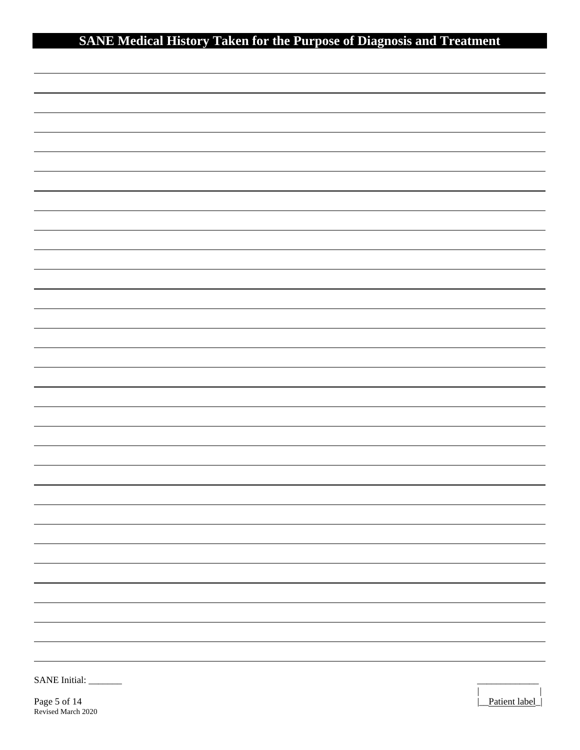# **SANE Medical History Taken for the Purpose of Diagnosis and Treatment**

| <b>SANE</b> Initial: |  |  |
|----------------------|--|--|
|                      |  |  |

Page 5 of 14 Patient label Revised March 2020

 $\overline{a}$ 

 $\overline{a}$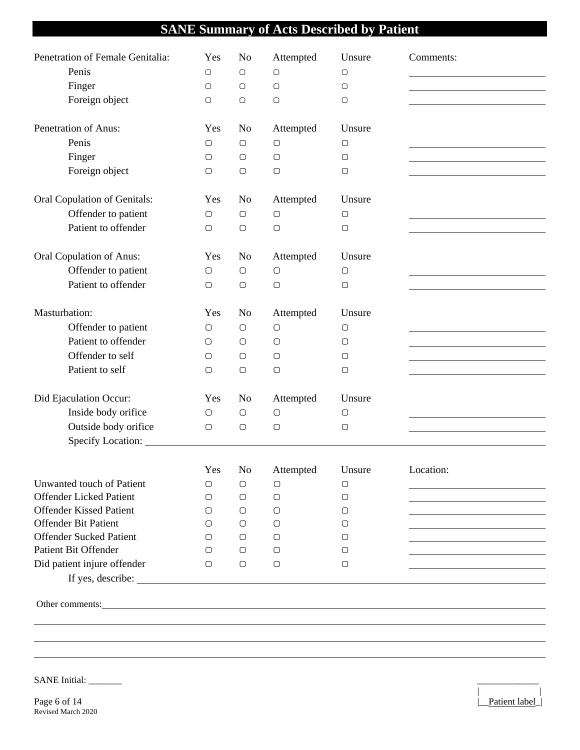## **SANE Summary of Acts Described by Patient**

| Penetration of Female Genitalia:<br>Penis<br>Finger<br>Foreign object                                                                                                                                                                | Yes<br>$\bigcirc$<br>$\bigcirc$<br>$\bigcirc$ | N <sub>o</sub><br>$\bigcirc$<br>$\bigcirc$<br>$\bigcirc$ | Attempted<br>$\bigcirc$<br>$\bigcirc$<br>$\bigcirc$ | Unsure<br>$\bigcirc$<br>$\bigcirc$<br>$\bigcirc$ | Comments: |
|--------------------------------------------------------------------------------------------------------------------------------------------------------------------------------------------------------------------------------------|-----------------------------------------------|----------------------------------------------------------|-----------------------------------------------------|--------------------------------------------------|-----------|
| Penetration of Anus:                                                                                                                                                                                                                 | Yes                                           | N <sub>0</sub>                                           | Attempted                                           | Unsure                                           |           |
| Penis                                                                                                                                                                                                                                | $\bigcirc$                                    | $\bigcirc$                                               | $\bigcirc$                                          | О                                                |           |
| Finger                                                                                                                                                                                                                               | $\bigcirc$                                    | $\bigcirc$                                               | $\bigcirc$                                          | $\bigcirc$                                       |           |
| Foreign object                                                                                                                                                                                                                       | $\bigcirc$                                    | $\bigcirc$                                               | $\bigcirc$                                          | $\bigcirc$                                       |           |
| Oral Copulation of Genitals:                                                                                                                                                                                                         | Yes                                           | N <sub>o</sub>                                           | Attempted                                           | Unsure                                           |           |
| Offender to patient                                                                                                                                                                                                                  | $\bigcirc$                                    | $\bigcirc$                                               | $\bigcirc$                                          | $\bigcirc$                                       |           |
| Patient to offender                                                                                                                                                                                                                  | $\bigcirc$                                    | $\bigcirc$                                               | $\bigcirc$                                          | $\bigcirc$                                       |           |
| Oral Copulation of Anus:                                                                                                                                                                                                             | Yes                                           | N <sub>o</sub>                                           | Attempted                                           | Unsure                                           |           |
| Offender to patient                                                                                                                                                                                                                  | $\bigcirc$                                    | $\bigcirc$                                               | $\bigcirc$                                          | $\bigcirc$                                       |           |
| Patient to offender                                                                                                                                                                                                                  | $\bigcirc$                                    | $\bigcirc$                                               | $\bigcirc$                                          | $\bigcirc$                                       |           |
| Masturbation:                                                                                                                                                                                                                        | Yes                                           | N <sub>o</sub>                                           | Attempted                                           | Unsure                                           |           |
| Offender to patient                                                                                                                                                                                                                  | $\bigcirc$                                    | $\bigcirc$                                               | $\bigcirc$                                          | $\bigcirc$                                       |           |
| Patient to offender                                                                                                                                                                                                                  | $\bigcirc$                                    | $\bigcirc$                                               | $\bigcirc$                                          | О                                                |           |
| Offender to self                                                                                                                                                                                                                     | $\bigcirc$                                    | $\bigcirc$                                               | $\bigcirc$                                          | О                                                |           |
| Patient to self                                                                                                                                                                                                                      | $\bigcirc$                                    | $\bigcirc$                                               | $\bigcirc$                                          | $\bigcirc$                                       |           |
| Did Ejaculation Occur:                                                                                                                                                                                                               | Yes                                           | N <sub>o</sub>                                           | Attempted                                           | Unsure                                           |           |
| Inside body orifice                                                                                                                                                                                                                  | $\bigcirc$                                    | $\bigcirc$                                               | $\bigcirc$                                          | $\bigcirc$                                       |           |
| Outside body orifice                                                                                                                                                                                                                 | $\bigcirc$                                    | $\bigcirc$                                               | $\bigcirc$                                          | $\bigcirc$                                       |           |
|                                                                                                                                                                                                                                      |                                               |                                                          |                                                     |                                                  |           |
|                                                                                                                                                                                                                                      |                                               | Yes No                                                   | Attempted                                           | Unsure                                           | Location: |
| Unwanted touch of Patient                                                                                                                                                                                                            | О                                             | О                                                        | $\bigcirc$                                          | О                                                |           |
| <b>Offender Licked Patient</b>                                                                                                                                                                                                       | $\bigcirc$                                    | $\bigcirc$                                               | 0                                                   | О                                                |           |
| <b>Offender Kissed Patient</b>                                                                                                                                                                                                       | $\Box$                                        | O                                                        | O                                                   | О                                                |           |
| <b>Offender Bit Patient</b><br><b>Offender Sucked Patient</b>                                                                                                                                                                        | $\bigcirc$                                    | $\bigcirc$                                               | O                                                   | О                                                |           |
| Patient Bit Offender                                                                                                                                                                                                                 | $\bigcirc$<br>$\bigcirc$                      | O<br>O                                                   | $\circ$<br>$\bigcirc$                               | О<br>О                                           |           |
| Did patient injure offender                                                                                                                                                                                                          | $\bigcirc$                                    | $\bigcirc$                                               | $\bigcirc$                                          | О                                                |           |
| If yes, describe:                                                                                                                                                                                                                    |                                               |                                                          |                                                     |                                                  |           |
|                                                                                                                                                                                                                                      |                                               |                                                          |                                                     |                                                  |           |
| Other comments: <u>contract the community of the contract of the contract of the contract of the contract of the contract of the contract of the contract of the contract of the contract of the contract of the contract of the</u> |                                               |                                                          |                                                     |                                                  |           |
|                                                                                                                                                                                                                                      |                                               |                                                          |                                                     |                                                  |           |
|                                                                                                                                                                                                                                      |                                               |                                                          |                                                     |                                                  |           |
|                                                                                                                                                                                                                                      |                                               |                                                          |                                                     |                                                  |           |

| |

SANE Initial: \_\_\_\_\_\_\_ \_\_\_\_\_\_\_\_\_\_\_\_\_

Page 6 of 14 Patient label Revised March 2020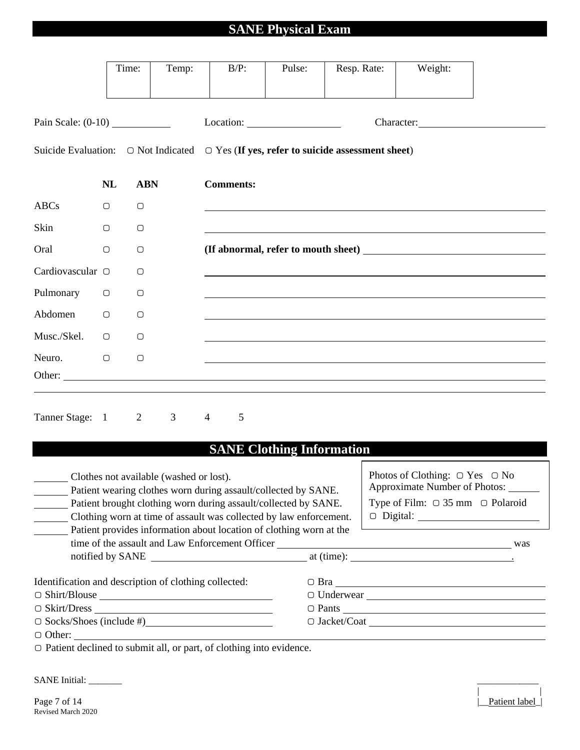## **SANE Physical Exam**

|                                                                                                 |            | Time:          | Temp:          |                | $B/P$ :          | Pulse:                           | Resp. Rate: | Weight:    |  |
|-------------------------------------------------------------------------------------------------|------------|----------------|----------------|----------------|------------------|----------------------------------|-------------|------------|--|
| Pain Scale: $(0-10)$                                                                            |            |                |                |                |                  |                                  |             | Character: |  |
| Suicide Evaluation: $\Box$ Not Indicated $\Box$ Yes (If yes, refer to suicide assessment sheet) |            |                |                |                |                  |                                  |             |            |  |
|                                                                                                 | <b>NL</b>  | <b>ABN</b>     |                |                | <b>Comments:</b> |                                  |             |            |  |
| <b>ABCs</b>                                                                                     | $\bigcirc$ | $\bigcirc$     |                |                |                  |                                  |             |            |  |
| Skin                                                                                            | $\bigcirc$ | $\bigcirc$     |                |                |                  |                                  |             |            |  |
| Oral                                                                                            | $\bigcirc$ | $\bigcirc$     |                |                |                  |                                  |             |            |  |
| Cardiovascular O                                                                                |            | $\bigcirc$     |                |                |                  |                                  |             |            |  |
| Pulmonary                                                                                       | $\bigcirc$ | $\bigcirc$     |                |                |                  |                                  |             |            |  |
| Abdomen                                                                                         | $\bigcirc$ | $\bigcirc$     |                |                |                  |                                  |             |            |  |
| Musc./Skel.                                                                                     | $\bigcirc$ | $\bigcirc$     |                |                |                  |                                  |             |            |  |
| Neuro.<br>Other:                                                                                | $\bigcirc$ | $\bigcirc$     |                |                |                  |                                  |             |            |  |
| Tanner Stage: 1                                                                                 |            | $\overline{2}$ | 3 <sup>7</sup> | $\overline{4}$ | $\mathfrak{S}$   |                                  |             |            |  |
|                                                                                                 |            |                |                |                |                  | <b>SANE Clothing Information</b> |             |            |  |

#### **SANE Clothing Information**

| Clothes not available (washed or lost).               | Photos of Clothing: $\bigcirc$ Yes $\bigcirc$ No<br>Approximate Number of Photos:<br>Patient wearing clothes worn during assault/collected by SANE.<br>Type of Film: $\bigcirc$ 35 mm $\bigcirc$ Polaroid<br>Patient brought clothing worn during assault/collected by SANE.<br>Clothing worn at time of assault was collected by law enforcement.<br>Patient provides information about location of clothing worn at the |                      |  |  |  |
|-------------------------------------------------------|---------------------------------------------------------------------------------------------------------------------------------------------------------------------------------------------------------------------------------------------------------------------------------------------------------------------------------------------------------------------------------------------------------------------------|----------------------|--|--|--|
| Identification and description of clothing collected: |                                                                                                                                                                                                                                                                                                                                                                                                                           |                      |  |  |  |
|                                                       |                                                                                                                                                                                                                                                                                                                                                                                                                           |                      |  |  |  |
|                                                       |                                                                                                                                                                                                                                                                                                                                                                                                                           | $\circ$ Pants $\_\_$ |  |  |  |
| $\circ$ Socks/Shoes (include #)                       |                                                                                                                                                                                                                                                                                                                                                                                                                           |                      |  |  |  |
| $\Box$ Other: $\qquad \qquad \qquad$                  |                                                                                                                                                                                                                                                                                                                                                                                                                           |                      |  |  |  |

▢ Patient declined to submit all, or part, of clothing into evidence.

SANE Initial: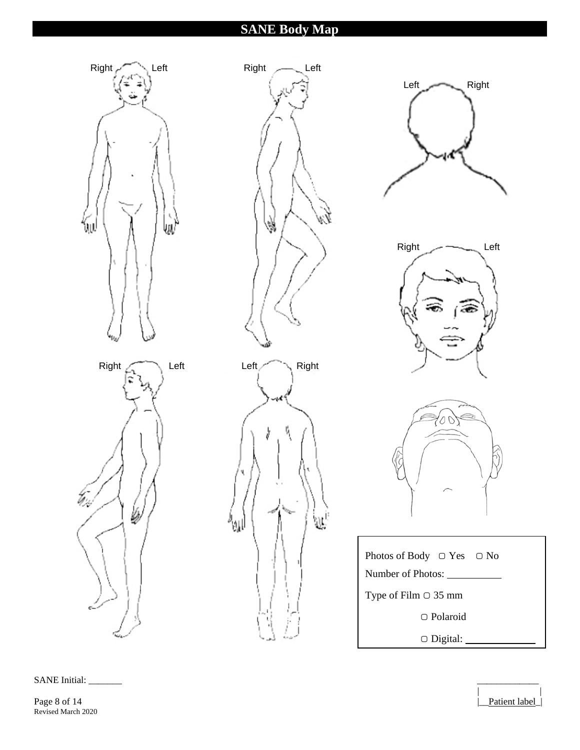### **SANE Body Map**



SANE Initial:

Page 8 of 14 Patient label Revised March 2020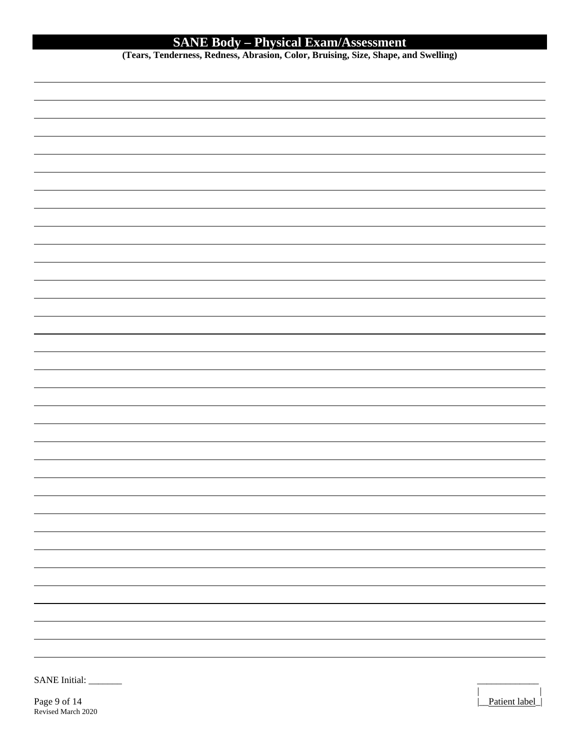#### **SANE Body – Physical Exam/Assessment**

**(Tears, Tenderness, Redness, Abrasion, Color, Bruising, Size, Shape, and Swelling)** 

| SANE Initial: |  |
|---------------|--|
|               |  |

Page 9 of 14 **Patient label** Revised March 2020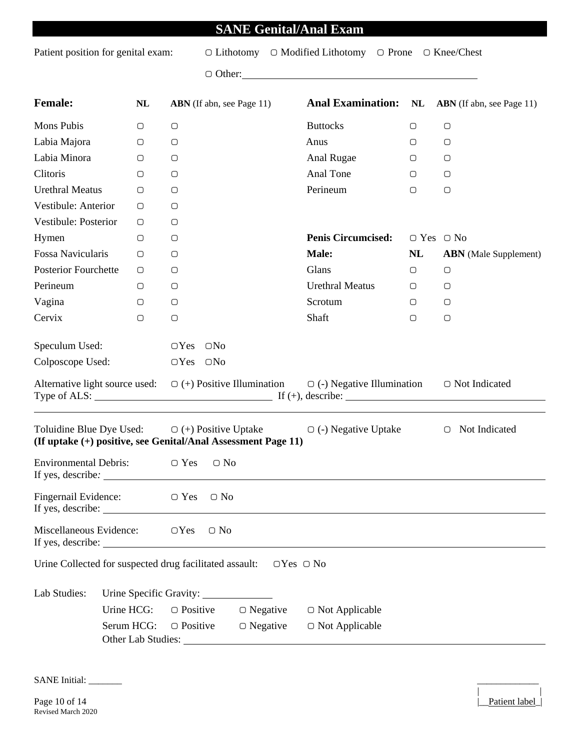### **SANE Genital/Anal Exam**

Patient position for genital exam: ○ Lithotomy ○ Modified Lithotomy ○ Prone ○ Knee/Chest

▢ Other:

| <b>Female:</b>                                                | NL                      | <b>ABN</b> (If abn, see Page 11) |               |                                           |                                                                                                                                                                           | <b>Anal Examination:</b> NL ABN (If abn, see Page 11) |                              |
|---------------------------------------------------------------|-------------------------|----------------------------------|---------------|-------------------------------------------|---------------------------------------------------------------------------------------------------------------------------------------------------------------------------|-------------------------------------------------------|------------------------------|
| Mons Pubis                                                    | $\bigcirc$              | $\bigcirc$                       |               |                                           | <b>Buttocks</b>                                                                                                                                                           | $\bigcirc$                                            | $\bigcirc$                   |
| Labia Majora                                                  | $\bigcirc$              | $\bigcirc$                       |               |                                           | Anus                                                                                                                                                                      | $\bigcirc$                                            | $\bigcirc$                   |
| Labia Minora                                                  | $\bigcirc$              | $\bigcirc$                       |               |                                           | Anal Rugae                                                                                                                                                                | $\bigcirc$                                            | $\bigcirc$                   |
| Clitoris                                                      | $\bigcirc$              | $\bigcirc$                       |               |                                           | Anal Tone                                                                                                                                                                 | $\bigcirc$                                            | $\bigcirc$                   |
| <b>Urethral Meatus</b>                                        | $\bigcirc$              | $\bigcirc$                       |               |                                           | Perineum                                                                                                                                                                  | $\bigcirc$                                            | $\bigcirc$                   |
| Vestibule: Anterior                                           | О                       | $\bigcirc$                       |               |                                           |                                                                                                                                                                           |                                                       |                              |
| Vestibule: Posterior                                          | $\bigcirc$              | $\bigcirc$                       |               |                                           |                                                                                                                                                                           |                                                       |                              |
| Hymen                                                         | $\bigcirc$              | $\bigcirc$                       |               |                                           | <b>Penis Circumcised:</b>                                                                                                                                                 | $\bigcirc$ Yes $\bigcirc$ No                          |                              |
| Fossa Navicularis                                             | О                       | $\bigcirc$                       |               |                                           | Male:                                                                                                                                                                     | NL                                                    | <b>ABN</b> (Male Supplement) |
| <b>Posterior Fourchette</b>                                   | $\bigcirc$              | $\bigcirc$                       |               |                                           | Glans                                                                                                                                                                     | $\bigcirc$                                            | $\bigcirc$                   |
| Perineum                                                      | $\bigcirc$              | $\bigcirc$                       |               |                                           | <b>Urethral Meatus</b>                                                                                                                                                    | $\bigcirc$                                            | $\bigcirc$                   |
| Vagina                                                        | $\bigcirc$              | $\bigcirc$                       |               |                                           | Scrotum                                                                                                                                                                   | 0                                                     | $\bigcirc$                   |
| Cervix                                                        | $\bigcirc$              | $\bigcirc$                       |               |                                           | Shaft                                                                                                                                                                     | $\bigcirc$                                            | $\bigcirc$                   |
| Speculum Used:<br>Colposcope Used:                            |                         | $OYes$ $ONo$<br>$OYes$ $ONo$     |               |                                           | Alternative light source used: $\Box$ (+) Positive Illumination $\Box$ (-) Negative Illumination<br>Type of ALS: $\qquad \qquad \qquad \text{If } (+), \text{ describe:}$ |                                                       | ○ Not Indicated              |
| (If uptake (+) positive, see Genital/Anal Assessment Page 11) |                         |                                  |               |                                           | Toluidine Blue Dye Used: $\Box$ (+) Positive Uptake $\Box$ (-) Negative Uptake                                                                                            |                                                       | ○ Not Indicated              |
| <b>Environmental Debris:</b>                                  |                         | $\Box$ Yes                       | $\bigcirc$ No |                                           |                                                                                                                                                                           |                                                       |                              |
| Fingernail Evidence:                                          |                         | $\bigcirc$ Yes                   | $\bigcirc$ No |                                           |                                                                                                                                                                           |                                                       |                              |
| Miscellaneous Evidence:<br>$\bigcirc$ Yes<br>$\bigcirc$ No    |                         |                                  |               |                                           |                                                                                                                                                                           |                                                       |                              |
| Urine Collected for suspected drug facilitated assault:       |                         |                                  |               | $\bigcirc$ Yes $\bigcirc$ No              |                                                                                                                                                                           |                                                       |                              |
| Lab Studies:                                                  | Urine Specific Gravity: |                                  |               |                                           |                                                                                                                                                                           |                                                       |                              |
|                                                               | Urine HCG:              | $\bigcirc$ Positive              |               | $\bigcirc$ Negative                       | $\bigcirc$ Not Applicable                                                                                                                                                 |                                                       |                              |
|                                                               | Serum HCG:              | $\bigcirc$ Positive              |               | $\bigcirc$ Negative                       | $\bigcirc$ Not Applicable                                                                                                                                                 |                                                       |                              |
|                                                               |                         |                                  |               | Other Lab Studies: No. 1996. The Studies: |                                                                                                                                                                           |                                                       |                              |
|                                                               |                         |                                  |               |                                           |                                                                                                                                                                           |                                                       |                              |

SANE Initial: \_\_\_\_\_\_\_ \_\_\_\_\_\_\_\_\_\_\_\_\_ | |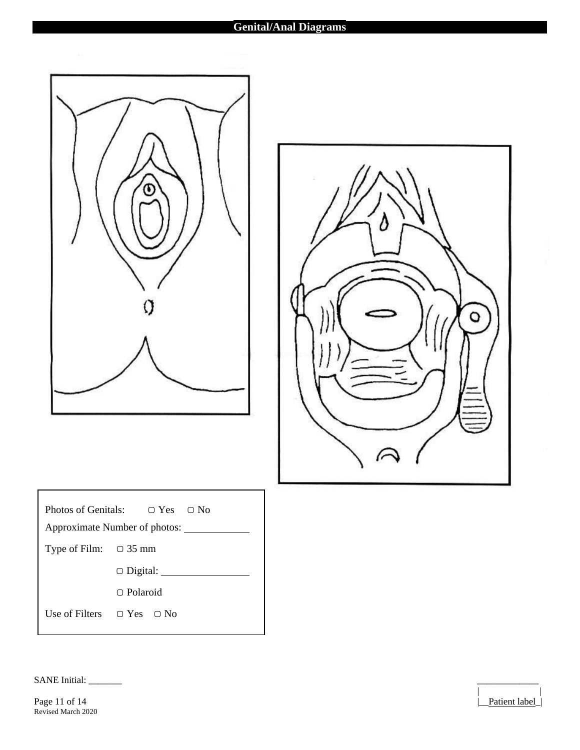#### **Genital/Anal Diagrams**

| |



| Photos of Genitals: $\Box$ Yes $\Box$ No<br>Approximate Number of photos: |                                     |  |
|---------------------------------------------------------------------------|-------------------------------------|--|
| Type of Film: $\Box$ 35 mm                                                |                                     |  |
|                                                                           | $\bigcirc$ Digital:                 |  |
|                                                                           | $\cap$ Polaroid                     |  |
|                                                                           | Use of Filters $\Box$ Yes $\Box$ No |  |

SANE Initial: \_\_\_\_\_\_\_ \_\_\_\_\_\_\_\_\_\_\_\_\_

Page 11 of 14 Patient label Revised March 2020

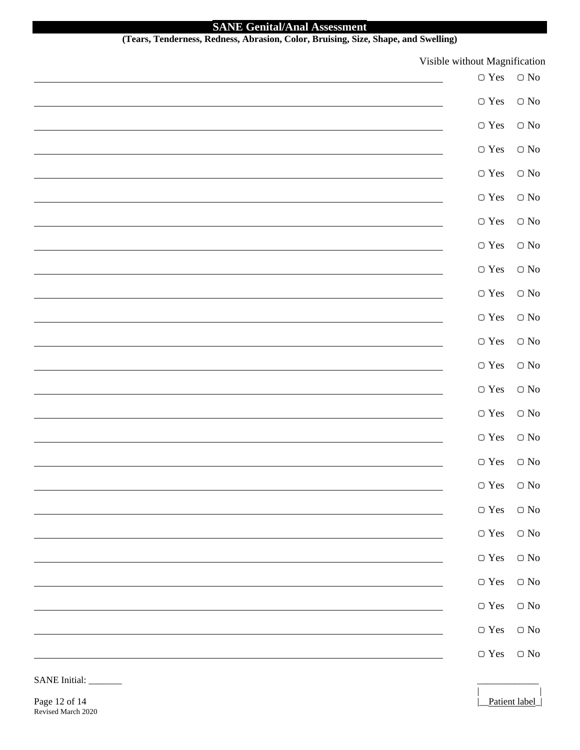# **SANE Genital/Anal Assessment**<br>(Tears. Tenderness, Redness, Abrasion, Color, Bruising, Size

| (Tears, Tenderness, Redness, Abrasion, Color, Bruising, Size, Shape, and Swelling) |                                       |                                             |
|------------------------------------------------------------------------------------|---------------------------------------|---------------------------------------------|
|                                                                                    | Visible without Magnification         |                                             |
|                                                                                    | $\hbox{\ensuremath{\mathcal{O}}}$ Yes | $\bigcirc$ No                               |
|                                                                                    |                                       | $\hbox{\ensuremath{\mathcal{O}}$}$ No       |
|                                                                                    |                                       | $\hbox{\ensuremath{\mathcal{O}}$}$ No       |
|                                                                                    |                                       | $\hbox{\ensuremath{\mathcal{O}}}\xspace$ No |
|                                                                                    |                                       | $\hbox{\ensuremath{\mathcal{O}}}\xspace$ No |
|                                                                                    |                                       | $\bigcirc$ No                               |
|                                                                                    |                                       | $\bigcirc$ No                               |
|                                                                                    |                                       | $\hbox{\ensuremath{\mathcal{O}}$}$ No       |
|                                                                                    |                                       | $\hbox{\ensuremath{\mathcal{O}}$}$ No       |
|                                                                                    |                                       | $\hbox{\ensuremath{\mathcal{O}}$}$ No       |
|                                                                                    |                                       | $\hbox{\ensuremath{\mathcal{O}}$}$ No       |
|                                                                                    |                                       | $\hbox{\ensuremath{\mathcal{O}}}\xspace$ No |
|                                                                                    |                                       | $\hbox{\ensuremath{\mathcal{O}}}\xspace$ No |
|                                                                                    |                                       | $\hbox{\ensuremath{\mathcal{O}}$}$ No       |
|                                                                                    | $\hbox{\ensuremath{\mathcal{O}}}$ Yes | $\bigcirc$ No                               |
|                                                                                    | $\hbox{\ensuremath{\mathcal{O}}}$ Yes | $\bigcirc$ No                               |
|                                                                                    | $\hbox{\ensuremath{\mathcal{O}}}$ Yes | $\bigcirc$ No                               |
|                                                                                    |                                       | $\bigcirc$ No                               |
|                                                                                    |                                       | $\bigcirc$ No                               |
|                                                                                    | $\hbox{\ensuremath{\mathcal{O}}}$ Yes | $\hbox{\ensuremath{\mathcal{O}}}\xspace$ No |
|                                                                                    | $\hbox{\ensuremath{\mathcal{O}}}$ Yes | $\hbox{\ensuremath{\mathcal{O}}}\xspace$ No |
|                                                                                    | $\hbox{\ensuremath{\mathcal{O}}}$ Yes | $\bigcirc$ No                               |
|                                                                                    |                                       | $\bigcirc$ No                               |
|                                                                                    |                                       | $\bigcirc$ No                               |
|                                                                                    |                                       |                                             |
|                                                                                    |                                       | $\hbox{\ensuremath{\mathcal{O}}}\xspace$ No |

| |

SANE Initial:

Page 12 of 14 Patient label Revised March 2020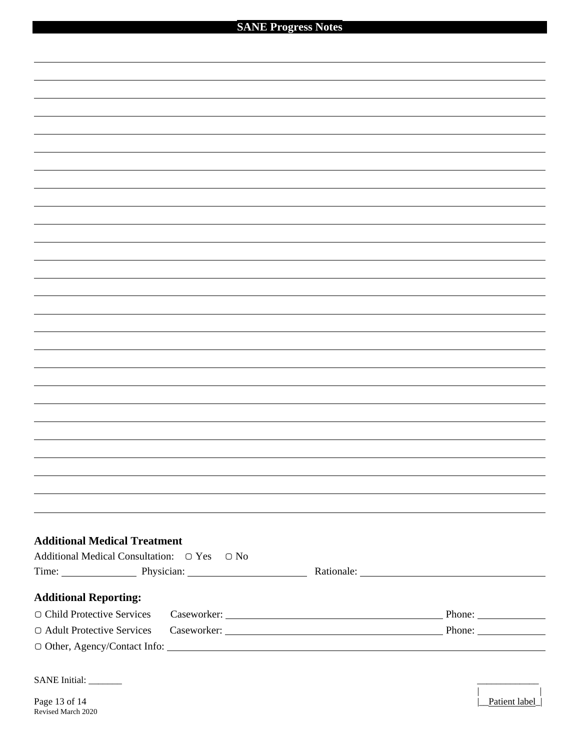| <b>Additional Medical Treatment</b>               |                           |
|---------------------------------------------------|---------------------------|
| Additional Medical Consultation: ○ Yes ○ No       |                           |
| Time: Physician: Physician: Rationale: Rationale: |                           |
|                                                   |                           |
| <b>Additional Reporting:</b>                      |                           |
| O Child Protective Services                       | Caseworker: Phone: Phone: |
| ○ Adult Protective Services                       |                           |
|                                                   |                           |
|                                                   |                           |
| SANE Initial: ________                            |                           |
|                                                   |                           |
| Page 13 of 14<br>Revised March 2020               | Patient label             |